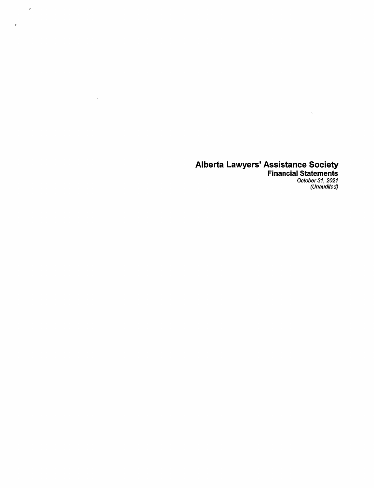$\mathcal{A}$ 

 $\sim 10^6$ 

 $\hat{\mathbf{v}}$ 

October 31, 2021<br>(Unaudited) **Financial Statements** 

 $\zeta_{\rm{eff}}$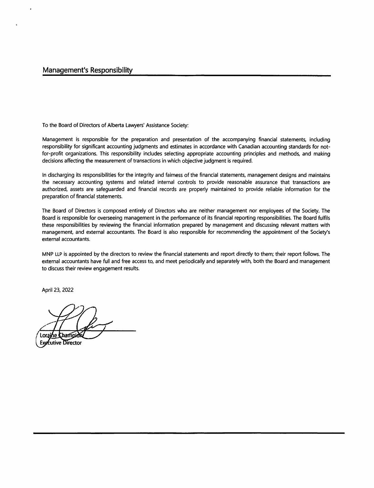To the Board of Directors of Alberta Lawyers' Assistance Society:

Management is responsible for the preparation and presentation of the accompanying financial statements, including responsibility for significant accounting judgments and estimates in accordance with Canadian accounting standards for notfor-profit organizations. This responsibility includes selecting appropriate accounting principles and methods, and making decisions affecting the measurement of transactions in which objective judgment is required.

In discharging its responsibilities for the integrity and fairness of the financial statements, management designs and maintains the necessary accounting systems and related internal controls to provide reasonable assurance that transactions are authorized, assets are safeguarded and financial records are properly maintained to provide reliable information for the preparation of financial statements.

The Board of Directors is composed entirely of Directors who are neither management nor employees of the Society. The Board is responsible for overseeing management in the performance of its financial reporting responsibilities. The Board fulfils these responsibilities by reviewing the financial information prepared by management and discussing relevant matters with management, and external accountants. The Board is also responsible for recommending the appointment of the Society's external accountants.

MNP LLP is appointed by the directors to review the financial statements and report directly to them; their report follows. The external accountants have full and free access to, and meet periodically and separately with, both the Board and management to discuss their review engagement results.

April 23, 2022

Loraine Champid

**Exprutive Director**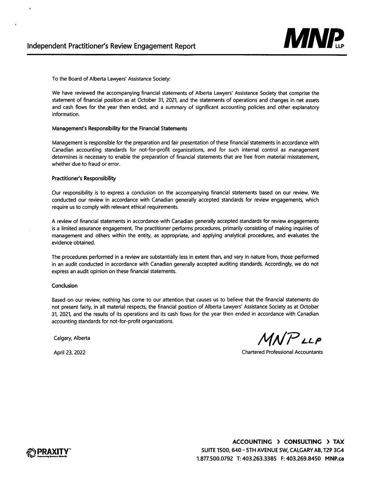

To the Board of Alberta Lawyers' Assistance Society:

We have reviewed the accompanying financial statements of Alberta Lawyers' Assistance Society that comprise the statement of financial position as at October 31, 2021, and the statements of operations and changes in net assets and cash flows for the year then ended, and a summary of significant accounting policies and other explanatory information.

#### Management's Responsibility for the Financial Statements

Management is responsible for the preparation and fair presentation of these financial statements in accordance with Canadian accounting standards for not-for-profit organizations, and for such internal control as management determines is necessary to enable the preparation of financial statements that are free from material misstatement, whether due to fraud or error.

#### Practitioner's Responsibility

Our responsibility is to express a conclusion on the accompanying financial statements based on our review. We conducted our review in accordance with Canadian generally accepted standards for review engagements, which require us to comply with relevant ethical requirements.

A review of financial statements in accordance with Canadian generally accepted standards for review engagements is a limited assurance engagement. The practitioner performs procedures, primarily consisting of making inquiries of management and others within the entity, as appropriate, and applying analytical procedures, and evaluates the evidence obtained.

The procedures performed in a review are substantially less in extent than, and vary in nature from, those performed in an audit conducted in accordance with Canadian generally accepted auditing standards. Accordingly, we do not express an audit opinion on these financial statements.

#### Conclusion

Based on our review, nothing has come to our attention that causes us to believe that the financial statements do not present fairly, in all material respects, the financial position of Alberta Lawyers' Assistance Society as at October 31, 2021, and the results of its operations and its cash flows for the year then ended in accordance with Canadian accounting standards for not-for-profit organizations.

Calgary, Alberta

*MllPLLP* 

April 23, 2022

Chartered Professional Accountants

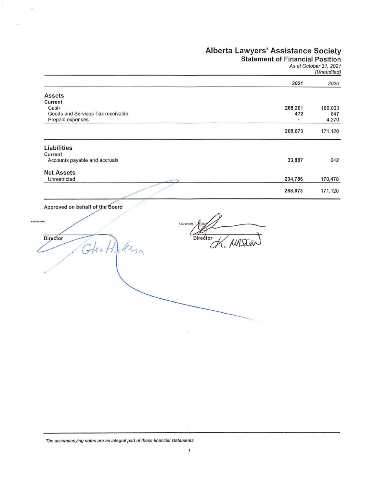Statement of Financial Position

As at October 31, 2021 (Unaudited)

|                                   | 2021    | 2020    |
|-----------------------------------|---------|---------|
| <b>Assets</b>                     |         |         |
| Current                           |         |         |
| Cash                              | 268,201 | 166,003 |
| Goods and Services Tax receivable | 472     | 847     |
| Prepaid expenses                  | ٠       | 4,270   |
|                                   | 268,673 | 171,120 |
| Liabilities                       |         |         |
| Current                           |         |         |
| Accounts payable and accruals     | 33,887  | 642     |
| <b>Net Assets</b>                 |         |         |
| Unrestricted                      | 234,786 | 170,478 |
|                                   | 268,673 | 171,120 |

e Board

Glen Hickenson

/

Director

**PLESS SCAVERE** 

72

ü

Director

The accompanying notes are an integral part of thoso financial statements

 $\tilde{\omega}$ 

 $\hat{\mathbf{x}}$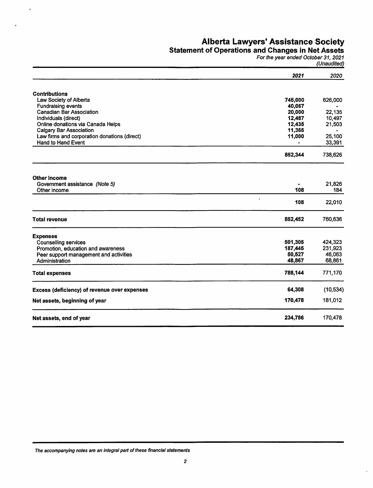### Statement of Operations and Changes in Net Assets

For the year ended October 31, 2021 (Unaudited)

 $\ddot{\phantom{a}}$ 

|                                              | 2021             | 2020      |
|----------------------------------------------|------------------|-----------|
|                                              |                  |           |
| <b>Contributions</b>                         |                  |           |
| Law Society of Alberta                       | 745,000          | 626,000   |
| <b>Fundraising events</b>                    | 40,067           |           |
| Canadian Bar Association                     | 20,000           | 22,135    |
| Individuals (direct)                         | 12,487           | 10,497    |
| Online donations via Canada Helps            | 12,435           | 21,503    |
| <b>Calgary Bar Association</b>               | 11,355           |           |
| Law firms and corporation donations (direct) | 11,000           | 25,100    |
| Hand to Hand Event                           |                  | 33,391    |
|                                              | 852,344          | 738,626   |
| <b>Other Income</b>                          |                  |           |
| Government assistance (Note 5)               |                  | 21,826    |
| Other income                                 | 108              | 184       |
|                                              | $\bullet$<br>108 | 22,010    |
| <b>Total revenue</b>                         | 852,452          | 760,636   |
| <b>Expenses</b>                              |                  |           |
| <b>Counselling services</b>                  | 501,305          | 424,323   |
| Promotion, education and awareness           | 187,445          | 231,923   |
| Peer support management and activities       | 50,527           | 46,063    |
| Administration                               | 48,867           | 68,861    |
| <b>Total expenses</b>                        | 788,144          | 771,170   |
| Excess (deficiency) of revenue over expenses | 64,308           | (10, 534) |
| Net assets, beginning of year                | 170,478          | 181,012   |
| Net assets, end of year                      | 234,786          | 170,478   |
|                                              |                  |           |

The accompanying notes are an integral part of these financial statements

 $\ddot{\phantom{a}}$ 

j.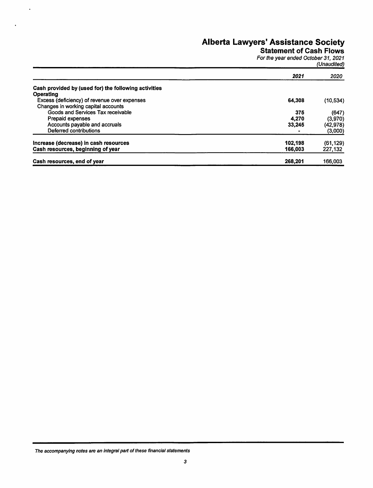### Statement of Cash Flows

For the year ended October 31, 2021 (Unaudited)

|                                                      | 2021    | 2020      |
|------------------------------------------------------|---------|-----------|
| Cash provided by (used for) the following activities |         |           |
| <b>Operating</b>                                     |         |           |
| Excess (deficiency) of revenue over expenses         | 64.308  | (10, 534) |
| Changes in working capital accounts                  |         |           |
| Goods and Services Tax receivable                    | 375     | (647)     |
| <b>Prepaid expenses</b>                              | 4.270   | (3,970)   |
| Accounts payable and accruals                        | 33,245  | (42, 978) |
| Deferred contributions                               |         | (3,000)   |
| Increase (decrease) in cash resources                | 102.198 | (61, 129) |
| Cash resources, beginning of year                    | 166,003 | 227,132   |
| Cash resources, end of year                          | 268.201 | 166,003   |

The accompanying notes are an integral parl of these financial statements

 $\ddot{\phantom{a}}$ 

 $\ddot{\phantom{0}}$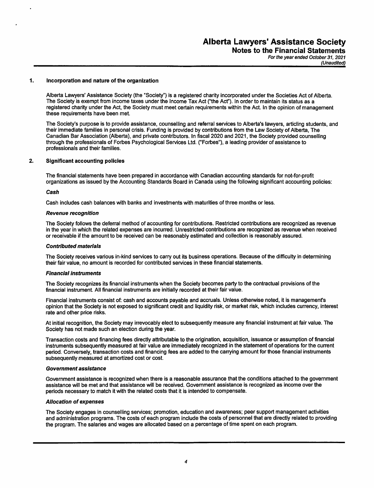Notes to the Financial Statements For the year ended October 31, 2021

(Unaudited)

#### 1. Incorporation and nature of the organization

Alberta Lawyers' Assistance Society (the "Society") is a registered charity incorporated under the Societies Act of Alberta. The Society is exempt from income taxes under the Income Tax Act ("the Act"). In order to maintain its status as a registered charity under the Act, the Society must meet certain requirements within the Act. In the opinion of management these requirements have been met.

The Society's purpose is to provide assistance, counselling and referral services to Alberta's lawyers, articling students, and their immediate families in personal crisis. Funding is provided by contributions from the Law Society of Alberta, The Canadian Bar Association (Alberta), and private contributors. In fiscal 2020 and 2021, the Society provided counselling through the professionals of Forbes Psychological Services Ltd. ("Forbes"), a leading provider of assistance to professionals and their families.

#### 2. Significant accounting policies

The financial statements have been prepared in accordance with Canadian accounting standards for not-for-profit organizations as issued by the Accounting Standards Board in Canada using the following significant accounting policies:

#### Cash

Cash includes cash balances with banks and investments with maturities of three months or less.

#### Revenue recognition

The Society follows the deferral method of accounting for contributions. Restricted contributions are recognized as revenue in the year in which the related expenses are incurred. Unrestricted contributions are recognized as revenue when received or receivable if the amount to be received can be reasonably estimated and collection is reasonably assured.

#### Contributed materials

The Society receives various in-kind services to carry out its business operations. Because of the difficulty in determining their fair value, no amount is recorded for contributed services in these financial statements.

#### Financial instruments

The Society recognizes its financial instruments when the Society becomes party to the contractual provisions of the financial instrument. All financial instruments are initially recorded at their fair value.

Financial instruments consist of: cash and accounts payable and accruals. Unless otherwise noted, it is managemenfs opinion that the Society is not exposed to significant credit and liquidity risk, or market risk, which includes currency, interest rate and other price risks.

At initial recognition, the Society may irrevocably elect to subsequently measure any financial instrument at fair value. The Society has not made such an election during the year.

Transaction costs and financing fees directly attributable to the origination, acquisition, issuance or assumption of financial instruments subsequently measured at fair value are immediately recognized in the statement of operations for the current period. Conversely, transaction costs and financing fees are added to the carrying amount for those financial instruments subsequently measured at amortized cost or cost.

#### Government assistance

Government assistance is recognized when there is a reasonable assurance that the conditions attached to the government assistance will be met and that assistance will be received. Government assistance is recognized as income over the periods necessary to match it with the related costs that it is intended to compensate.

#### A/location of expenses

The Society engages in counselling services; promotion, education and awareness; peer support management activities and administration programs. The costs of each program include the costs of personnel that are directly related to providing the program. The salaries and wages are allocated based on a percentage of time spent on each program.